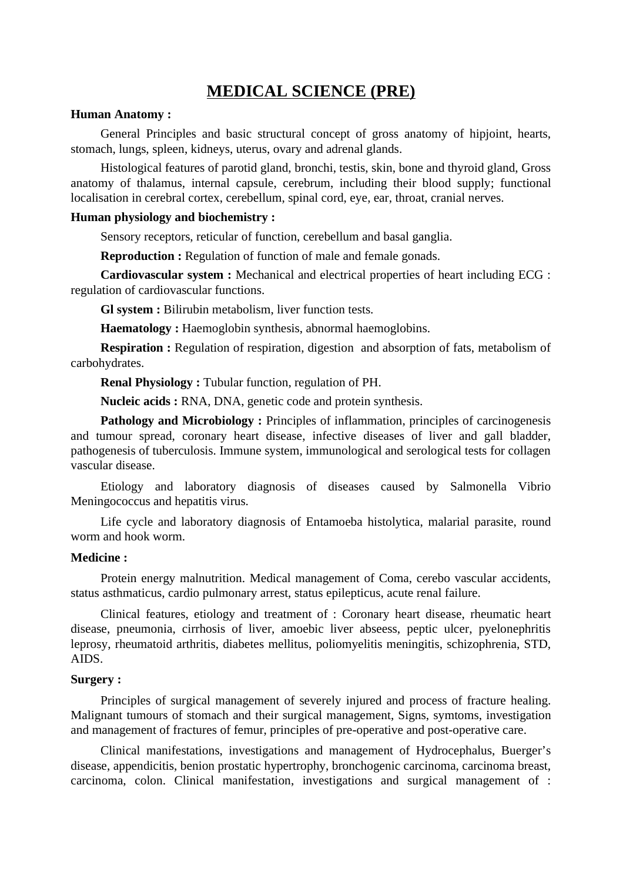# **MEDICAL SCIENCE (PRE)**

## **Human Anatomy :**

General Principles and basic structural concept of gross anatomy of hipjoint, hearts, stomach, lungs, spleen, kidneys, uterus, ovary and adrenal glands.

Histological features of parotid gland, bronchi, testis, skin, bone and thyroid gland, Gross anatomy of thalamus, internal capsule, cerebrum, including their blood supply; functional localisation in cerebral cortex, cerebellum, spinal cord, eye, ear, throat, cranial nerves.

## **Human physiology and biochemistry :**

Sensory receptors, reticular of function, cerebellum and basal ganglia.

**Reproduction :** Regulation of function of male and female gonads.

**Cardiovascular system :** Mechanical and electrical properties of heart including ECG : regulation of cardiovascular functions.

**Gl system :** Bilirubin metabolism, liver function tests.

**Haematology :** Haemoglobin synthesis, abnormal haemoglobins.

**Respiration :** Regulation of respiration, digestion and absorption of fats, metabolism of carbohydrates.

**Renal Physiology :** Tubular function, regulation of PH.

**Nucleic acids :** RNA, DNA, genetic code and protein synthesis.

**Pathology and Microbiology :** Principles of inflammation, principles of carcinogenesis and tumour spread, coronary heart disease, infective diseases of liver and gall bladder, pathogenesis of tuberculosis. Immune system, immunological and serological tests for collagen vascular disease.

Etiology and laboratory diagnosis of diseases caused by Salmonella Vibrio Meningococcus and hepatitis virus.

Life cycle and laboratory diagnosis of Entamoeba histolytica, malarial parasite, round worm and hook worm.

## **Medicine :**

Protein energy malnutrition. Medical management of Coma, cerebo vascular accidents, status asthmaticus, cardio pulmonary arrest, status epilepticus, acute renal failure.

Clinical features, etiology and treatment of : Coronary heart disease, rheumatic heart disease, pneumonia, cirrhosis of liver, amoebic liver abseess, peptic ulcer, pyelonephritis leprosy, rheumatoid arthritis, diabetes mellitus, poliomyelitis meningitis, schizophrenia, STD, AIDS.

### **Surgery :**

Principles of surgical management of severely injured and process of fracture healing. Malignant tumours of stomach and their surgical management, Signs, symtoms, investigation and management of fractures of femur, principles of pre-operative and post-operative care.

Clinical manifestations, investigations and management of Hydrocephalus, Buerger's disease, appendicitis, benion prostatic hypertrophy, bronchogenic carcinoma, carcinoma breast, carcinoma, colon. Clinical manifestation, investigations and surgical management of :